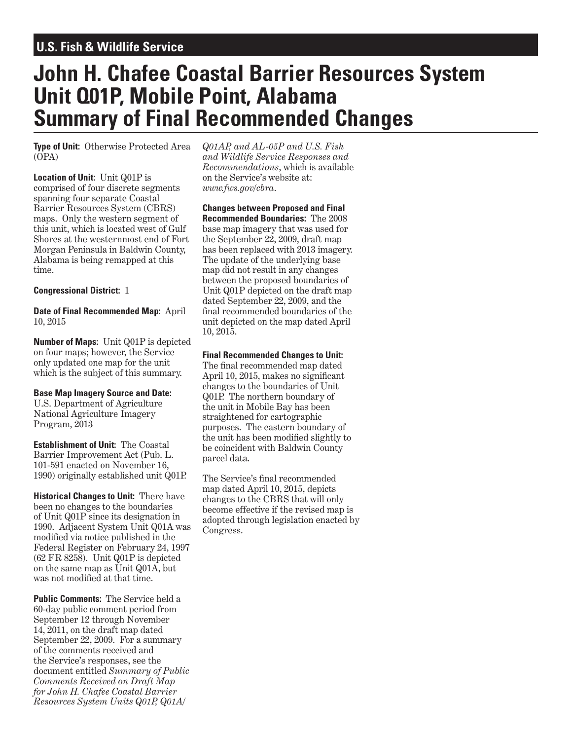# **U.S. Fish & Wildlife Service**

# **John H. Chafee Coastal Barrier Resources System Unit Q01P, Mobile Point, Alabama Summary of Final Recommended Changes**

**Type of Unit:** Otherwise Protected Area (OPA)

**Location of Unit:** Unit Q01P is comprised of four discrete segments spanning four separate Coastal Barrier Resources System (CBRS) maps. Only the western segment of this unit, which is located west of Gulf Shores at the westernmost end of Fort Morgan Peninsula in Baldwin County, Alabama is being remapped at this time.

# **Congressional District:** 1

#### **Date of Final Recommended Map:** April 10, 2015

**Number of Maps:** Unit Q01P is depicted on four maps; however, the Service only updated one map for the unit which is the subject of this summary.

#### **Base Map Imagery Source and Date:**

U.S. Department of Agriculture National Agriculture Imagery Program, 2013

**Establishment of Unit:** The Coastal Barrier Improvement Act (Pub. L. 101-591 enacted on November 16, 1990) originally established unit Q01P.

**Historical Changes to Unit:** There have been no changes to the boundaries of Unit Q01P since its designation in 1990. Adjacent System Unit Q01A was modified via notice published in the Federal Register on February 24, 1997 (62 FR 8258). Unit Q01P is depicted on the same map as Unit Q01A, but was not modified at that time.

**Public Comments:** The Service held a 60-day public comment period from September 12 through November 14, 2011, on the draft map dated September 22, 2009. For a summary of the comments received and the Service's responses, see the document entitled *Summary of Public Comments Received on Draft Map for John H. Chafee Coastal Barrier Resources System Units Q01P, Q01A/*

*Q01AP, and AL-05P and U.S. Fish and Wildlife Service Responses and Recommendations*, which is available on the Service's website at: *www.fws.gov/cbra*.

**Changes between Proposed and Final Recommended Boundaries:** The 2008 base map imagery that was used for the September 22, 2009, draft map has been replaced with 2013 imagery. The update of the underlying base map did not result in any changes between the proposed boundaries of Unit Q01P depicted on the draft map dated September 22, 2009, and the final recommended boundaries of the unit depicted on the map dated April 10, 2015.

# **Final Recommended Changes to Unit:**

The final recommended map dated April 10, 2015, makes no significant changes to the boundaries of Unit Q01P. The northern boundary of the unit in Mobile Bay has been straightened for cartographic purposes. The eastern boundary of the unit has been modified slightly to be coincident with Baldwin County parcel data.

The Service's final recommended map dated April 10, 2015, depicts changes to the CBRS that will only become effective if the revised map is adopted through legislation enacted by Congress.